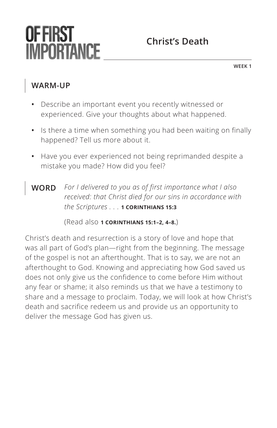# OF FIRST **IMPORTANCE**

## **Christ's Death**

**WEEK 1**

#### **WARM-UP**

- **•** Describe an important event you recently witnessed or experienced. Give your thoughts about what happened.
- **•** Is there a time when something you had been waiting on finally happened? Tell us more about it.
- **•** Have you ever experienced not being reprimanded despite a mistake you made? How did you feel?
- **WORD** *For I delivered to you as of first importance what I also received: that Christ died for our sins in accordance with the Scriptures . . . ^***1 CORINTHIANS 15:3**

(Read also **^1 CORINTHIANS 15:1–2, 4–8.**)

Christ's death and resurrection is a story of love and hope that was all part of God's plan—right from the beginning. The message of the gospel is not an afterthought. That is to say, we are not an afterthought to God. Knowing and appreciating how God saved us does not only give us the confidence to come before Him without any fear or shame; it also reminds us that we have a testimony to share and a message to proclaim. Today, we will look at how Christ's death and sacrifice redeem us and provide us an opportunity to deliver the message God has given us.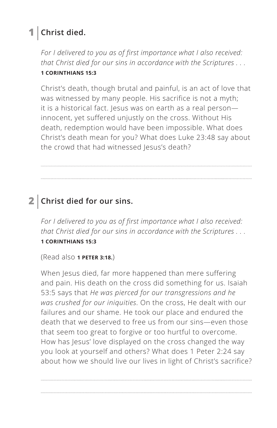## **1 Christ died.**

*For I delivered to you as of first importance what I also received: that Christ died for our sins in accordance with the Scriptures . . . ^***1 CORINTHIANS 15:3**

Christ's death, though brutal and painful, is an act of love that was witnessed by many people. His sacrifice is not a myth; it is a historical fact. Jesus was on earth as a real personinnocent, yet suffered unjustly on the cross. Without His death, redemption would have been impossible. What does Christ's death mean for you? What does Luke 23:48 say about the crowd that had witnessed Jesus's death?

#### **2 Christ died for our sins.**

*For I delivered to you as of first importance what I also received: that Christ died for our sins in accordance with the Scriptures . . . ^***1 CORINTHIANS 15:3**

(Read also **^1 PETER 3:18.**)

When Jesus died, far more happened than mere suffering and pain. His death on the cross did something for us. Isaiah 53:5 says that *He was pierced for our transgressions and he was crushed for our iniquities*. On the cross, He dealt with our failures and our shame. He took our place and endured the death that we deserved to free us from our sins—even those that seem too great to forgive or too hurtful to overcome. How has Jesus' love displayed on the cross changed the way you look at yourself and others? What does 1 Peter 2:24 say about how we should live our lives in light of Christ's sacrifice?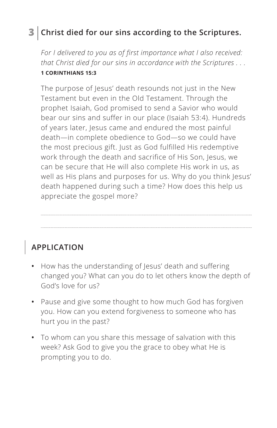## **3 Christ died for our sins according to the Scriptures.**

*For I delivered to you as of first importance what I also received: that Christ died for our sins in accordance with the Scriptures . . . ^***1 CORINTHIANS 15:3**

The purpose of Jesus' death resounds not just in the New Testament but even in the Old Testament. Through the prophet Isaiah, God promised to send a Savior who would bear our sins and suffer in our place (Isaiah 53:4). Hundreds of years later, Jesus came and endured the most painful death—in complete obedience to God—so we could have the most precious gift. Just as God fulfilled His redemptive work through the death and sacrifice of His Son, Jesus, we can be secure that He will also complete His work in us, as well as His plans and purposes for us. Why do you think Jesus' death happened during such a time? How does this help us appreciate the gospel more?

## **APPLICATION**

- **•** How has the understanding of Jesus' death and suffering changed you? What can you do to let others know the depth of God's love for us?
- **•** Pause and give some thought to how much God has forgiven you. How can you extend forgiveness to someone who has hurt you in the past?
- **•** To whom can you share this message of salvation with this week? Ask God to give you the grace to obey what He is prompting you to do.